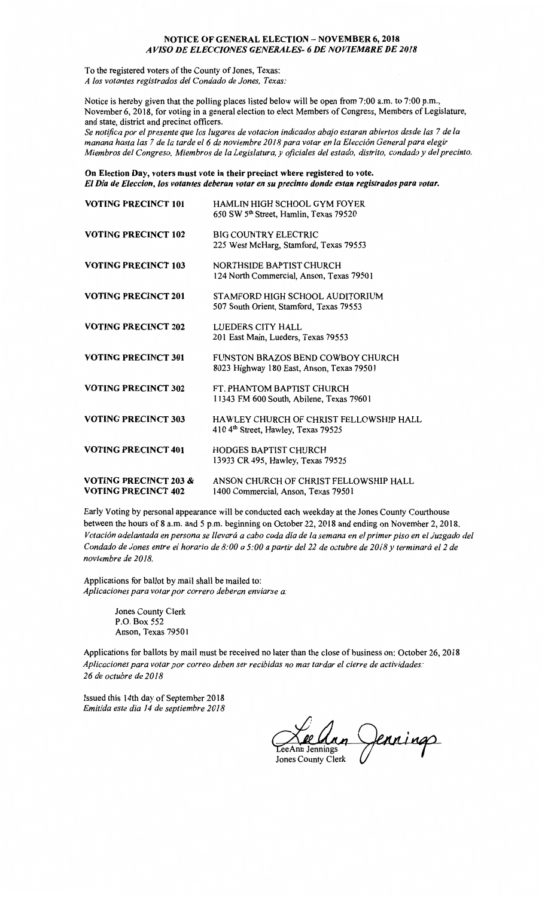## **NOTICE OF GENERAL ELECTION** - **NOVEMBER 6, 2018**  *A VISO DE ELECCIONES GENERALES- 6 DE NOVIEMBRE DE 2018*

To the registered voters of the County of Jones, Texas: *A los votantes registrados de/ Condado de Jones, Texas:* 

Notice is hereby given that the polling places listed below will be open from 7:00 a.m. to 7:00 p.m., November 6, 2018, for voting in a general election to elect Members of Congress, Members of Legislature, and state, district and precinct officers.

*Se notifica por el presente que los lugares de votacion indicados abajo estaran abiertos desde las* 7 *de la manana hast a las* 7 *de la tar de el 6 de noviembre 2018 para votar en la Elecci6n General para elegir Miembros de/ Congreso, Miembros de la Legislatura, y oficiales de/ estado, distrito, condado y de/ precinto.* 

**On Election Day, voters must vote in their precinct where registered to vote.**  *El Dia de Eleccion, los votantes deberan votar en su precinto donde estan registrados para votar.* 

| <b>VOTING PRECINCT 101</b>                                     | <b>HAMLIN HIGH SCHOOL GYM FOYER</b><br>650 SW 5 <sup>th</sup> Street, Hamlin, Texas 79520 |
|----------------------------------------------------------------|-------------------------------------------------------------------------------------------|
| <b>VOTING PRECINCT 102</b>                                     | <b>BIG COUNTRY ELECTRIC</b><br>225 West McHarg, Stamford, Texas 79553                     |
| <b>VOTING PRECINCT 103</b>                                     | NORTHSIDE BAPTIST CHURCH<br>124 North Commercial, Anson, Texas 79501                      |
| <b>VOTING PRECINCT 201</b>                                     | STAMFORD HIGH SCHOOL AUDITORIUM<br>507 South Orient, Stamford, Texas 79553                |
| <b>VOTING PRECINCT 202</b>                                     | LUEDERS CITY HALL<br>201 East Main, Lueders, Texas 79553                                  |
| <b>VOTING PRECINCT 301</b>                                     | FUNSTON BRAZOS BEND COWBOY CHURCH<br>8023 Highway 180 East, Anson, Texas 79501            |
| <b>VOTING PRECINCT 302</b>                                     | FT. PHANTOM BAPTIST CHURCH<br>11343 FM 600 South, Abilene, Texas 79601                    |
| <b>VOTING PRECINCT 303</b>                                     | HAWLEY CHURCH OF CHRIST FELLOWSHIP HALL<br>410 4th Street, Hawley, Texas 79525            |
| <b>VOTING PRECINCT 401</b>                                     | <b>HODGES BAPTIST CHURCH</b><br>13933 CR 495, Hawley, Texas 79525                         |
| <b>VOTING PRECINCT 203 &amp;</b><br><b>VOTING PRECINCT 402</b> | ANSON CHURCH OF CHRIST FELLOWSHIP HALL<br>1400 Commercial, Anson, Texas 79501             |

Early Voting by personal appearance will be conducted each weekday at the Jones County Courthouse between the hours of 8 a.m. and 5 p.m. beginning on October 22, 2018 and ending on November 2, 2018. *Votaci6n adelantada en persona se llevara a cabo cada dia de la semana en el primer piso en el Juzgado de/ Condado de Jones entre el horario de 8:00 a 5:00 a partir de/ 22 de octubre de 2018 y terminara el 2 de noviembre de 2018.* 

Applications for ballot by mail shall be mailed to: *Aplicaciones para votar por correro deberan enviarse a:* 

> Jones County Clerk P.O. Box 552 Anson, Texas 79501

Applications for ballots by mail must be received no later than the close of business on: October 26, 2018 *Aplicaciones para volar por correo deben ser recibidas no mas tardar el cierre de actividades: 26 de octubre de 2018* 

Issued this 14th day of September 2018 *Emitida este dia 14 de septiembre 2018* 

an Jennings **Jones County Clerk**